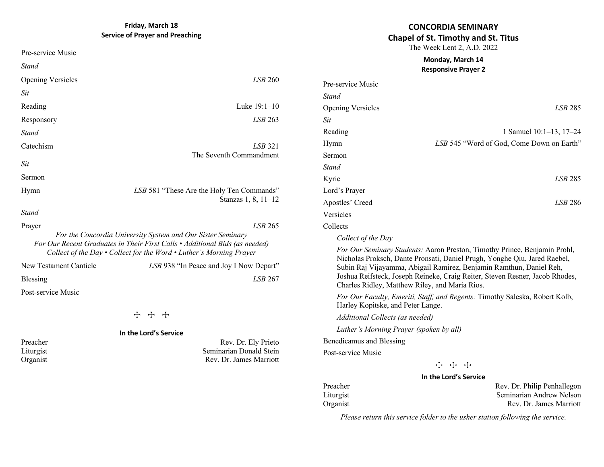### **CONCORDIA SEMINARY Chapel of St. Timothy and St. Titus**

The Week Lent 2, A.D. 2022

#### **Monday, March 14 Responsive Prayer 2**

| Pre-service Music        |                                           |
|--------------------------|-------------------------------------------|
| Stand                    |                                           |
| <b>Opening Versicles</b> | LSB 285                                   |
| Sit                      |                                           |
| Reading                  | 1 Samuel 10:1-13, 17-24                   |
| Hymn                     | LSB 545 "Word of God, Come Down on Earth" |
| Sermon                   |                                           |
| <b>Stand</b>             |                                           |
| Kyrie                    | LSB 285                                   |
| Lord's Prayer            |                                           |
| Apostles' Creed          | LSB 286                                   |
| Versicles                |                                           |
| Collects                 |                                           |
|                          |                                           |

*Collect of the Day* 

*For Our Seminary Students:* Aaron Preston, Timothy Prince, Benjamin Prohl, Nicholas Proksch, Dante Pronsati, Daniel Prugh, Yonghe Qiu, Jared Raebel, Subin Raj Vijayamma, Abigail Ramirez, Benjamin Ramthun, Daniel Reh, Joshua Reifsteck, Joseph Reineke, Craig Reiter, Steven Resner, Jacob Rhodes, Charles Ridley, Matthew Riley, and Maria Rios.

*For Our Faculty, Emeriti, Staff, and Regents:* Timothy Saleska, Robert Kolb, Harley Kopitske, and Peter Lange.

*Additional Collects (as needed)*

*Luther's Morning Prayer (spoken by all)*

Benedicamus and Blessing

Post-service Music

**T** T

#### **In the Lord's Service**

Preacher Rev. Dr. Philip Penhallegon Liturgist Seminarian Andrew Nelson Organist Rev. Dr. James Marriott

*Please return this service folder to the usher station following the service.*